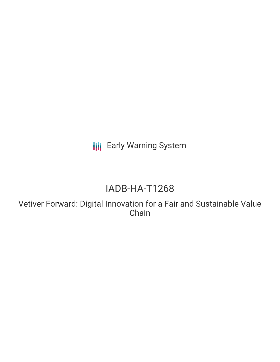**III** Early Warning System

# IADB-HA-T1268

Vetiver Forward: Digital Innovation for a Fair and Sustainable Value Chain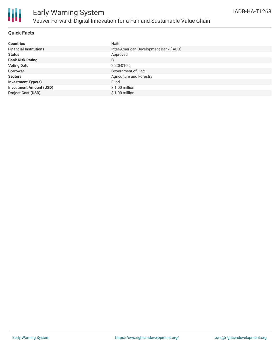

## **Quick Facts**

| <b>Countries</b>               | Haiti                                  |
|--------------------------------|----------------------------------------|
| <b>Financial Institutions</b>  | Inter-American Development Bank (IADB) |
| <b>Status</b>                  | Approved                               |
| <b>Bank Risk Rating</b>        | C                                      |
| <b>Voting Date</b>             | 2020-01-22                             |
| <b>Borrower</b>                | Government of Haiti                    |
| <b>Sectors</b>                 | Agriculture and Forestry               |
| <b>Investment Type(s)</b>      | Fund                                   |
| <b>Investment Amount (USD)</b> | $$1.00$ million                        |
| <b>Project Cost (USD)</b>      | $$1.00$ million                        |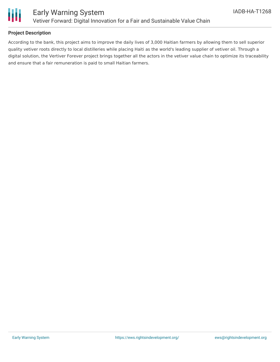

## **Project Description**

According to the bank, this project aims to improve the daily lives of 3,000 Haitian farmers by allowing them to sell superior quality vetiver roots directly to local distilleries while placing Haiti as the world's leading supplier of vetiver oil. Through a digital solution, the Vertiver Forever project brings together all the actors in the vetiver value chain to optimize its traceability and ensure that a fair remuneration is paid to small Haitian farmers.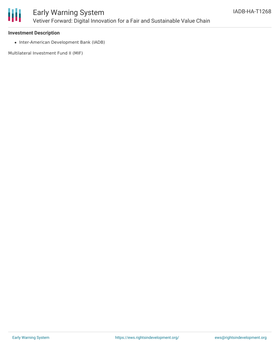

# Early Warning System Vetiver Forward: Digital Innovation for a Fair and Sustainable Value Chain

### **Investment Description**

• Inter-American Development Bank (IADB)

Multilateral Investment Fund II (MIF)